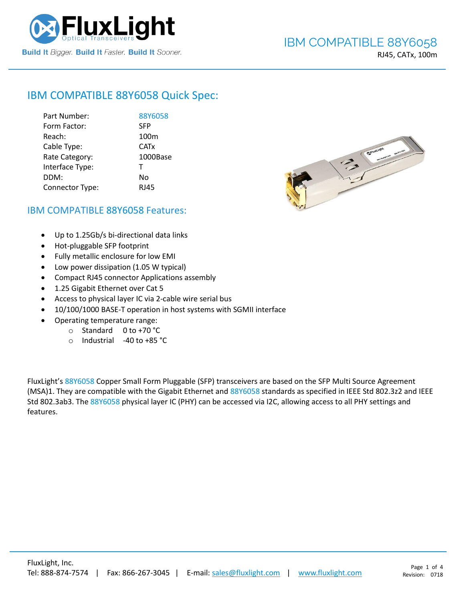

# IBM COMPATIBLE [88Y6058](https://www.fluxlight.com/) Quick Spec:

| Part Number:    | 88Y6058          |
|-----------------|------------------|
| Form Factor:    | <b>SFP</b>       |
| Reach:          | 100 <sub>m</sub> |
| Cable Type:     | <b>CATx</b>      |
| Rate Category:  | 1000Base         |
| Interface Type: | т                |
| DDM:            | No               |
| Connector Type: | <b>RJ45</b>      |



## IBM COMPATIBLE [88Y6058](https://www.fluxlight.com/) Features:

- Up to 1.25Gb/s bi-directional data links
- Hot-pluggable SFP footprint
- Fully metallic enclosure for low EMI
- Low power dissipation (1.05 W typical)
- Compact RJ45 connector Applications assembly
- 1.25 Gigabit Ethernet over Cat 5
- Access to physical layer IC via 2-cable wire serial bus
- 10/100/1000 BASE-T operation in host systems with SGMII interface
- Operating temperature range:
	- o Standard 0 to +70 °C
	- o Industrial -40 to +85 °C

FluxLight's [88Y6058](https://www.fluxlight.com/) Copper Small Form Pluggable (SFP) transceivers are based on the SFP Multi Source Agreement (MSA)1. They are compatible with the Gigabit Ethernet and [88Y6058](https://www.fluxlight.com/) standards as specified in IEEE Std 802.3z2 and IEEE Std 802.3ab3. The [88Y6058](https://www.fluxlight.com/) physical layer IC (PHY) can be accessed via I2C, allowing access to all PHY settings and features.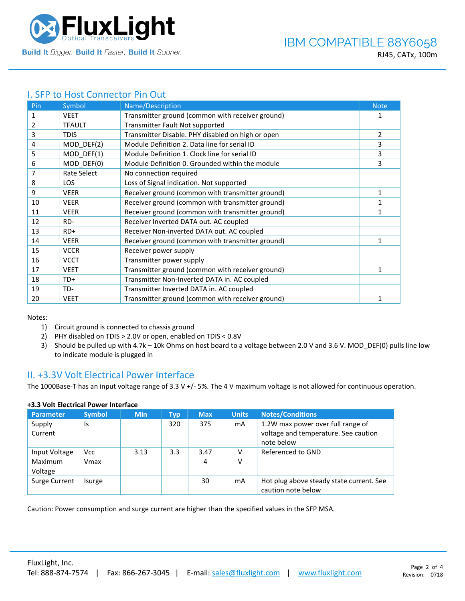

# I. SFP to Host Connector Pin Out

| Pin | Symbol        | Name/Description                                  | <b>Note</b>  |
|-----|---------------|---------------------------------------------------|--------------|
| 1   | <b>VEET</b>   | Transmitter ground (common with receiver ground)  | 1            |
| 2   | <b>TFAULT</b> | Transmitter Fault Not supported                   |              |
| 3   | <b>TDIS</b>   | Transmitter Disable. PHY disabled on high or open | 2            |
| 4   | MOD_DEF(2)    | Module Definition 2. Data line for serial ID      | 3            |
| 5   | MOD_DEF(1)    | Module Definition 1. Clock line for serial ID     | 3            |
| 6   | MOD DEF(0)    | Module Definition 0. Grounded within the module   | 3            |
| 7   | Rate Select   | No connection required                            |              |
| 8   | <b>LOS</b>    | Loss of Signal indication. Not supported          |              |
| 9   | <b>VEER</b>   | Receiver ground (common with transmitter ground)  | 1            |
| 10  | <b>VEER</b>   | Receiver ground (common with transmitter ground)  |              |
| 11  | <b>VEER</b>   | Receiver ground (common with transmitter ground)  | 1            |
| 12  | RD-           | Receiver Inverted DATA out. AC coupled            |              |
| 13  | $RD+$         | Receiver Non-inverted DATA out. AC coupled        |              |
| 14  | <b>VEER</b>   | Receiver ground (common with transmitter ground)  | 1            |
| 15  | <b>VCCR</b>   | Receiver power supply                             |              |
| 16  | <b>VCCT</b>   | Transmitter power supply                          |              |
| 17  | <b>VEET</b>   | Transmitter ground (common with receiver ground)  | 1            |
| 18  | TD+           | Transmitter Non-Inverted DATA in. AC coupled      |              |
| 19  | TD-           | Transmitter Inverted DATA in. AC coupled          |              |
| 20  | <b>VEET</b>   | Transmitter ground (common with receiver ground)  | $\mathbf{1}$ |

Notes:

- 1) Circuit ground is connected to chassis ground
- 2) PHY disabled on TDIS > 2.0V or open, enabled on TDIS < 0.8V
- 3) Should be pulled up with 4.7k 10k Ohms on host board to a voltage between 2.0 V and 3.6 V. MOD\_DEF(0) pulls line low to indicate module is plugged in

## II. +3.3V Volt Electrical Power Interface

The 1000Base-T has an input voltage range of 3.3 V +/- 5%. The 4 V maximum voltage is not allowed for continuous operation.

| <b>Parameter</b>   | <b>Symbol</b> | <b>Min</b> | Typ | <b>Max</b> | <b>Units</b> | <b>Notes/Conditions</b>                                                                 |
|--------------------|---------------|------------|-----|------------|--------------|-----------------------------------------------------------------------------------------|
| Supply<br>Current  | Is            |            | 320 | 375        | mA           | 1.2W max power over full range of<br>voltage and temperature. See caution<br>note below |
| Input Voltage      | <b>Vcc</b>    | 3.13       | 3.3 | 3.47       |              | Referenced to GND                                                                       |
| Maximum<br>Voltage | Vmax          |            |     | 4          | v            |                                                                                         |
| Surge Current      | Isurge        |            |     | 30         | mA           | Hot plug above steady state current. See<br>caution note below                          |

### **+3.3 Volt Electrical Power Interface**

Caution: Power consumption and surge current are higher than the specified values in the SFP MSA.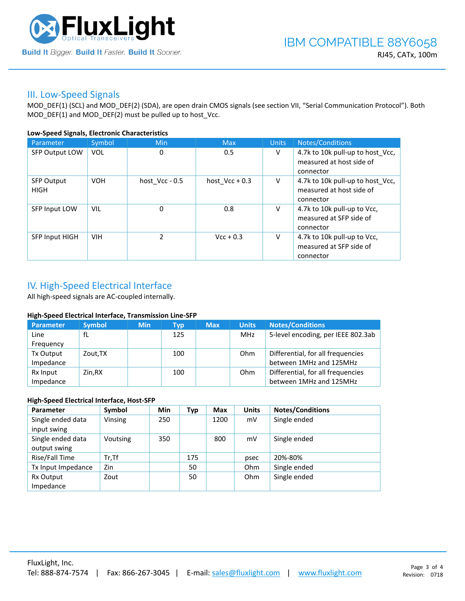

## III. Low-Speed Signals

MOD\_DEF(1) (SCL) and MOD\_DEF(2) (SDA), are open drain CMOS signals (see section VII, "Serial Communication Protocol"). Both MOD\_DEF(1) and MOD\_DEF(2) must be pulled up to host\_Vcc.

### **Low-Speed Signals, Electronic Characteristics**

| Parameter                        | Symbol     | Min              | <b>Max</b>       | <b>Units</b> | Notes/Conditions                                                          |
|----------------------------------|------------|------------------|------------------|--------------|---------------------------------------------------------------------------|
| <b>SFP Output LOW</b>            | <b>VOL</b> | 0                | 0.5              | V            | 4.7k to 10k pull-up to host_Vcc,<br>measured at host side of<br>connector |
| <b>SFP Output</b><br><b>HIGH</b> | <b>VOH</b> | host $Vcc - 0.5$ | host $Vec + 0.3$ | V            | 4.7k to 10k pull-up to host Vcc,<br>measured at host side of<br>connector |
| SFP Input LOW                    | <b>VIL</b> | 0                | 0.8              | V            | 4.7k to 10k pull-up to Vcc,<br>measured at SFP side of<br>connector       |
| <b>SFP Input HIGH</b>            | <b>VIH</b> | $\mathfrak{p}$   | $Vcc + 0.3$      | V            | 4.7k to 10k pull-up to Vcc,<br>measured at SFP side of<br>connector       |

# IV. High-Speed Electrical Interface

All high-speed signals are AC-coupled internally.

### **High-Speed Electrical Interface, Transmission Line-SFP**

| Parameter | <b>Symbol</b> | <b>Min</b> | Typ | <b>Max</b> | <b>Units</b> | <b>Notes/Conditions</b>            |
|-----------|---------------|------------|-----|------------|--------------|------------------------------------|
| Line      | fL            |            | 125 |            | MHz          | 5-level encoding, per IEEE 802.3ab |
| Frequency |               |            |     |            |              |                                    |
| Tx Output | Zout, TX      |            | 100 |            | Ohm          | Differential, for all frequencies  |
| Impedance |               |            |     |            |              | between 1MHz and 125MHz            |
| Rx Input  | Zin.RX        |            | 100 |            | Ohm          | Differential, for all frequencies  |
| Impedance |               |            |     |            |              | between 1MHz and 125MHz            |

### **High-Speed Electrical Interface, Host-SFP**

| Parameter          | Symbol   | <b>Min</b> | Typ | <b>Max</b> | <b>Units</b> | <b>Notes/Conditions</b> |
|--------------------|----------|------------|-----|------------|--------------|-------------------------|
| Single ended data  | Vinsing  | 250        |     | 1200       | mV           | Single ended            |
| input swing        |          |            |     |            |              |                         |
| Single ended data  | Voutsing | 350        |     | 800        | mV           | Single ended            |
| output swing       |          |            |     |            |              |                         |
| Rise/Fall Time     | $Tr.$ Tf |            | 175 |            | psec         | 20%-80%                 |
| Tx Input Impedance | Zin      |            | 50  |            | Ohm          | Single ended            |
| Rx Output          | Zout     |            | 50  |            | Ohm          | Single ended            |
| Impedance          |          |            |     |            |              |                         |